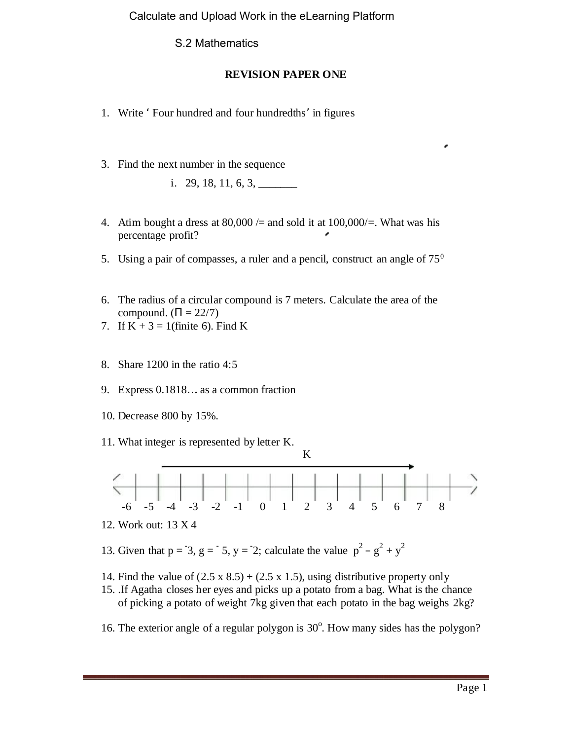Calculate and Upload Work in the eLearning Platform

S.2 Mathematics

## **REVISION PAPER ONE**

- 1. Write 'Four hundred and four hundredths'in figures
- 3. Find the next number in the sequence
	- i. 29, 18, 11, 6, 3,  $\frac{1}{2}$
- 4. Atim bought a dress at  $80,000 =$  and sold it at  $100,000 =$ . What was his percentage profit? Æ
- 5. Using a pair of compasses, a ruler and a pencil, construct an angle of  $75<sup>0</sup>$
- 6. The radius of a circular compound is 7 meters. Calculate the area of the compound.  $( = 22/7)$
- 7. If  $K + 3 = 1$  (finite 6). Find K
- 8. Share 1200 in the ratio 4:5
- 9. Express 0.1818…. as a common fraction
- 10. Decrease 800 by 15%.
- 11. What integer is represented by letter K.



- 12. Work out: 13 X 4
- 13. Given that  $p = 3$ ,  $g = 5$ ,  $y = 2$ ; calculate the value  $p^2 g^2 + y^2$
- 14. Find the value of  $(2.5 \times 8.5) + (2.5 \times 1.5)$ , using distributive property only
- 15. .If Agatha closes her eyes and picks up a potato from a bag. What is the chance of picking a potato of weight 7kg given that each potato in the bag weighs 2kg?
- 16. The exterior angle of a regular polygon is 30°. How many sides has the polygon?

¥,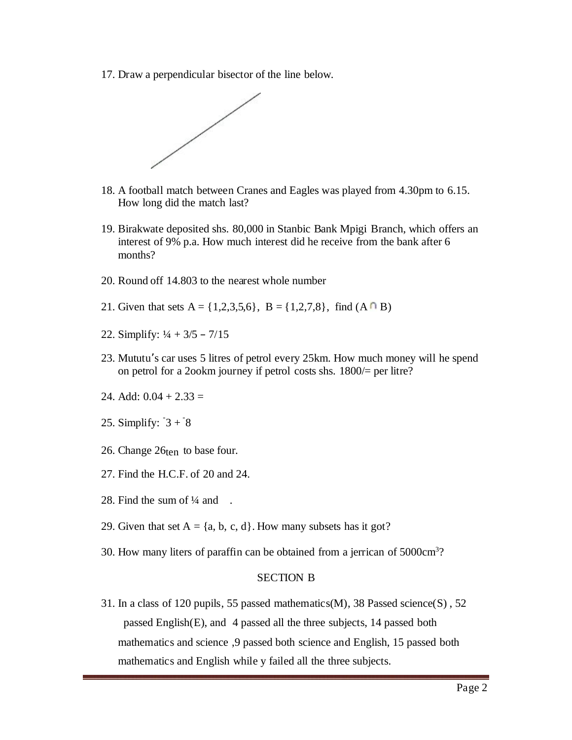17. Draw a perpendicular bisector of the line below.



- 18. A football match between Cranes and Eagles was played from 4.30pm to 6.15. How long did the match last?
- 19. Birakwate deposited shs. 80,000 in Stanbic Bank Mpigi Branch, which offers an interest of 9% p.a. How much interest did he receive from the bank after 6 months?
- 20. Round off 14.803 to the nearest whole number
- 21. Given that sets  $A = \{1,2,3,5,6\}$ ,  $B = \{1,2,7,8\}$ , find  $(A \cap B)$
- 22. Simplify:  $\frac{1}{4} + \frac{3}{5} \frac{7}{15}$
- 23. Mututu's car uses 5 litres of petrol every 25km. How much money will he spend on petrol for a 2ookm journey if petrol costs shs. 1800/= per litre?
- 24. Add:  $0.04 + 2.33 =$
- 25. Simplify:  $3 + 8$
- 26. Change 26ten to base four.
- 27. Find the H.C.F. of 20 and 24.
- 28. Find the sum of  $\frac{1}{4}$  and .
- 29. Given that set  $A = \{a, b, c, d\}$ . How many subsets has it got?
- 30. How many liters of paraffin can be obtained from a jerrican of 5000cm<sup>3</sup>?

## SECTION B

31. In a class of 120 pupils, 55 passed mathematics(M), 38 Passed science(S) , 52 passed English(E), and 4 passed all the three subjects, 14 passed both mathematics and science ,9 passed both science and English, 15 passed both mathematics and English while y failed all the three subjects.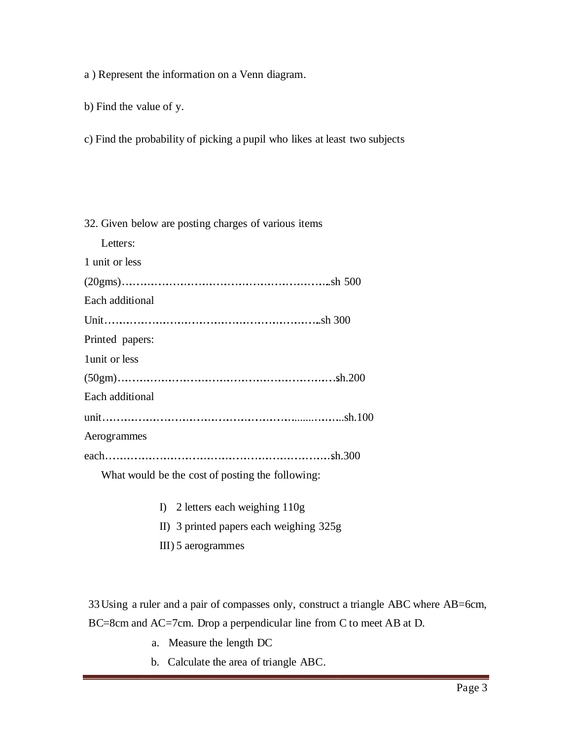a ) Represent the information on a Venn diagram.

b) Find the value of y.

c) Find the probability of picking a pupil who likes at least two subjects

32. Given below are posting charges of various items

Letters:

1 unit or less

| Each additional |  |
|-----------------|--|
|                 |  |
| Printed papers: |  |
| 1 unit or less  |  |
|                 |  |
| Each additional |  |
|                 |  |
| Aerogrammes     |  |
|                 |  |

What would be the cost of posting the following:

I) 2 letters each weighing 110g

II) 3 printed papers each weighing 325g

III) 5 aerogrammes

33Using a ruler and a pair of compasses only, construct a triangle ABC where AB=6cm, BC=8cm and AC=7cm. Drop a perpendicular line from C to meet AB at D.

- a. Measure the length DC
- b. Calculate the area of triangle ABC.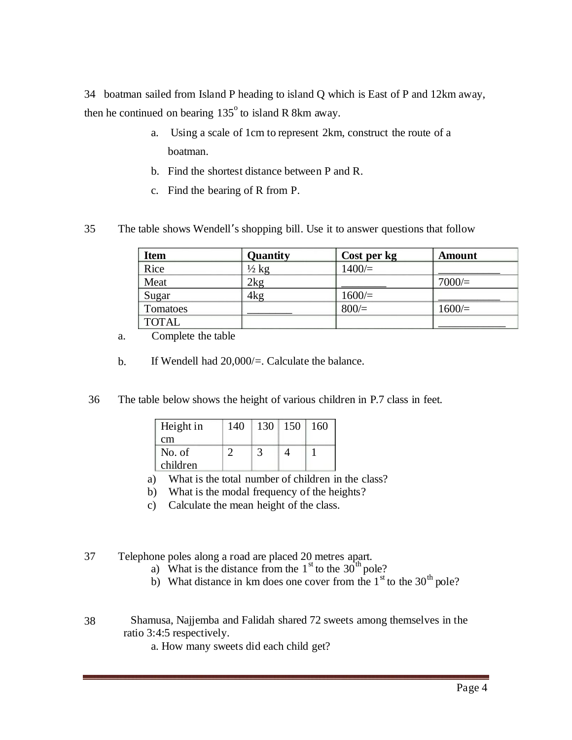34 boatman sailed from Island P heading to island Q which is East of P and 12km away, then he continued on bearing  $135^{\circ}$  to island R 8km away.

- a. Using a scale of 1cm to represent 2km, construct the route of a boatman.
- b. Find the shortest distance between P and R.
- c. Find the bearing of R from P.
- 35 The table shows Wendell's shopping bill. Use it to answer questions that follow

| <b>Item</b>  | Quantity         | Cost per kg | <b>Amount</b> |
|--------------|------------------|-------------|---------------|
| Rice         | $\frac{1}{2}$ kg | $1400 =$    |               |
| Meat         | 2kg              |             | 7000/         |
| Sugar        | 4kg              | $1600 =$    |               |
| Tomatoes     |                  | 800/        | $1600 =$      |
| <b>TOTAL</b> |                  |             |               |

- Complete the table a.
- b. If Wendell had 20,000/=. Calculate the balance.
- 36 The table below shows the height of various children in P.7 class in feet.

| Height in | 140 | 130 | 150 | 160 |
|-----------|-----|-----|-----|-----|
| cm        |     |     |     |     |
| No. of    |     |     |     |     |
| children  |     |     |     |     |

- a) What is the total number of children in the class?
- b) What is the modal frequency of the heights?
- c) Calculate the mean height of the class.

37 Telephone poles along a road are placed 20 metres apart.<br>
a) What is the distance from the  $1<sup>st</sup>$  to the 30<sup>th</sup> pole?

- 
- b) What distance in km does one cover from the  $1<sup>st</sup>$  to the 30<sup>th</sup> pole?
- 38 Shamusa, Najjemba and Falidah shared 72 sweets among themselves in the ratio 3:4:5 respectively.

a. How many sweets did each child get?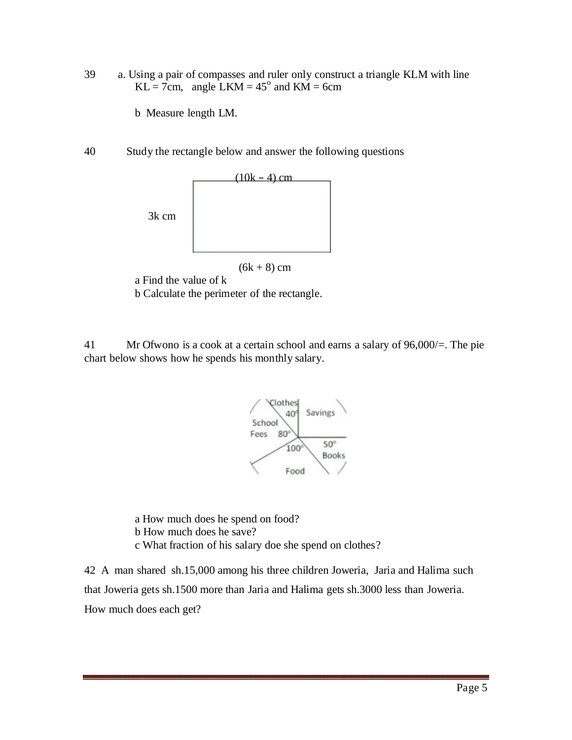39 a. Using a pair of compasses and ruler only construct a triangle KLM with line  $KL = 7cm$ , angle LKM = 45<sup>°</sup> and KM = 6cm

b Measure length LM.

40 Study the rectangle below and answer the following questions



 $(6k + 8)$  cm

a Find the value of k

b Calculate the perimeter of the rectangle.

41 Mr Ofwono is a cook at a certain school and earns a salary of 96,000/=. The pie chart below shows how he spends his monthly salary.



a How much does he spend on food? b How much does he save? c What fraction of his salary doe she spend on clothes?

42 A man shared sh.15,000 among his three children Joweria, Jaria and Halima such that Joweria gets sh.1500 more than Jaria and Halima gets sh.3000 less than Joweria. How much does each get?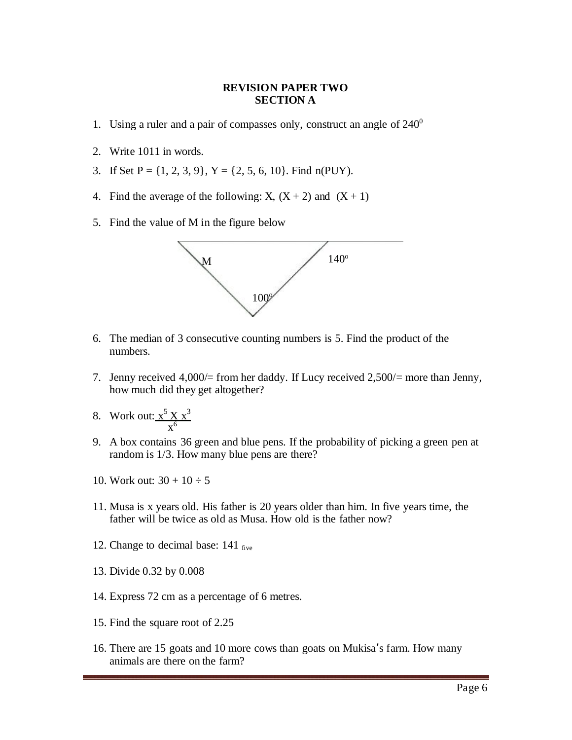## **REVISION PAPER TWO SECTION A**

- 1. Using a ruler and a pair of compasses only, construct an angle of  $240^{\circ}$
- 2. Write 1011 in words.
- 3. If Set  $P = \{1, 2, 3, 9\}$ ,  $Y = \{2, 5, 6, 10\}$ . Find n(PUY).
- 4. Find the average of the following: X,  $(X + 2)$  and  $(X + 1)$
- 5. Find the value of M in the figure below



- 6. The median of 3 consecutive counting numbers is 5. Find the product of the numbers.
- 7. Jenny received 4,000/= from her daddy. If Lucy received 2,500/= more than Jenny, how much did they get altogether?
- 8. Work out:  $x^5 X x^3$  $x^6$
- 9. A box contains 36 green and blue pens. If the probability of picking a green pen at random is 1/3. How many blue pens are there?
- 10. Work out:  $30 + 10 \div 5$
- 11. Musa is x years old. His father is 20 years older than him. In five years time, the father will be twice as old as Musa. How old is the father now?
- 12. Change to decimal base:  $141$  five
- 13. Divide 0.32 by 0.008
- 14. Express 72 cm as a percentage of 6 metres.
- 15. Find the square root of 2.25
- 16. There are 15 goats and 10 more cows than goats on Mukisa's farm. How many animals are there on the farm?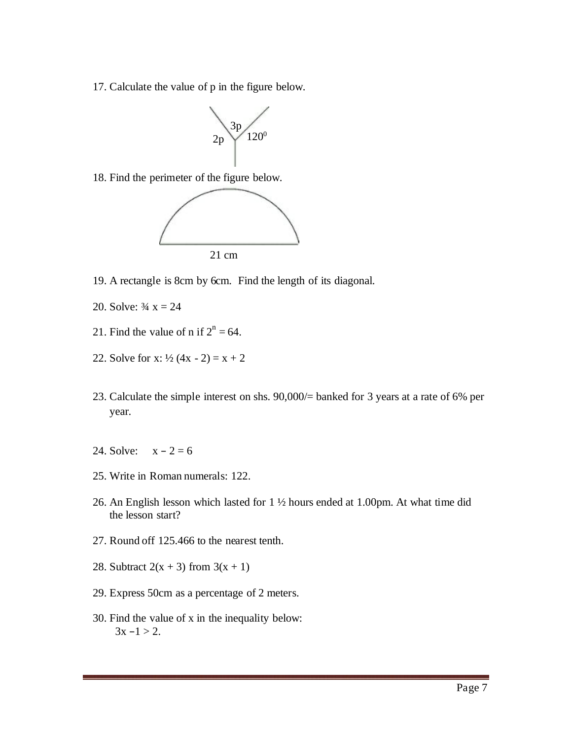17. Calculate the value of p in the figure below.



18. Find the perimeter of the figure below.



- 19. A rectangle is 8cm by 6cm. Find the length of its diagonal.
- 20. Solve:  $\frac{3}{4}x = 24$
- 21. Find the value of n if  $2^n = 64$ .
- 22. Solve for x:  $\frac{1}{2}$  (4x 2) = x + 2
- 23. Calculate the simple interest on shs. 90,000/= banked for 3 years at a rate of 6% per year.
- 24. Solve:  $x 2 = 6$
- 25. Write in Roman numerals: 122.
- 26. An English lesson which lasted for 1 ½ hours ended at 1.00pm. At what time did the lesson start?
- 27. Round off 125.466 to the nearest tenth.
- 28. Subtract  $2(x + 3)$  from  $3(x + 1)$
- 29. Express 50cm as a percentage of 2 meters.
- 30. Find the value of x in the inequality below:  $3x - 1 > 2$ .